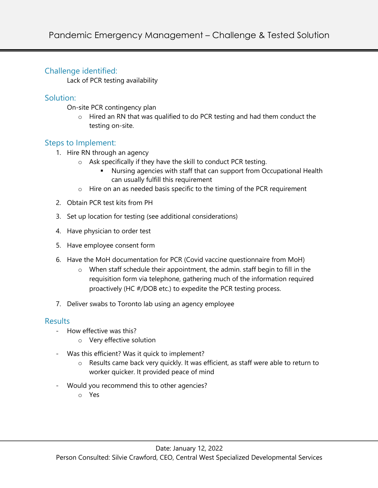## Challenge identified:

Lack of PCR testing availability

# Solution:

On-site PCR contingency plan

 $\circ$  Hired an RN that was qualified to do PCR testing and had them conduct the testing on-site.

## Steps to Implement:

- 1. Hire RN through an agency
	- o Ask specifically if they have the skill to conduct PCR testing.
		- § Nursing agencies with staff that can support from Occupational Health can usually fulfill this requirement
	- o Hire on an as needed basis specific to the timing of the PCR requirement
- 2. Obtain PCR test kits from PH
- 3. Set up location for testing (see additional considerations)
- 4. Have physician to order test
- 5. Have employee consent form
- 6. Have the MoH documentation for PCR (Covid vaccine questionnaire from MoH)
	- $\circ$  When staff schedule their appointment, the admin. staff begin to fill in the requisition form via telephone, gathering much of the information required proactively (HC #/DOB etc.) to expedite the PCR testing process.
- 7. Deliver swabs to Toronto lab using an agency employee

# **Results**

- How effective was this?
	- o Very effective solution
- Was this efficient? Was it quick to implement?
	- o Results came back very quickly. It was efficient, as staff were able to return to worker quicker. It provided peace of mind
- Would you recommend this to other agencies?
	- o Yes